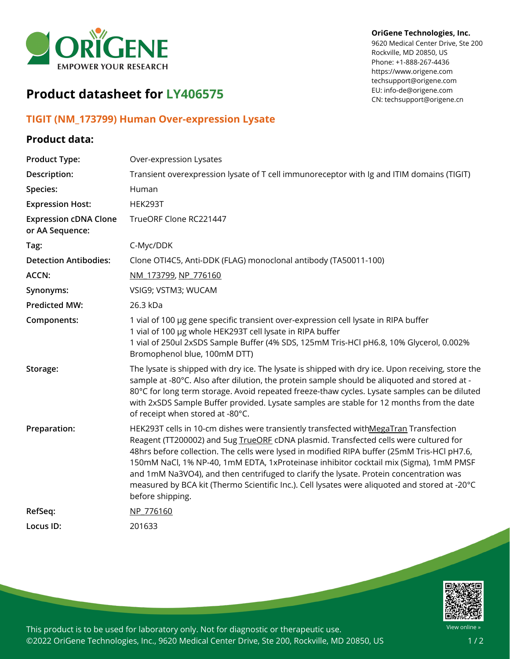

#### **OriGene Technologies, Inc.**

9620 Medical Center Drive, Ste 200 Rockville, MD 20850, US Phone: +1-888-267-4436 https://www.origene.com techsupport@origene.com EU: info-de@origene.com CN: techsupport@origene.cn

# **Product datasheet for LY406575**

### **TIGIT (NM\_173799) Human Over-expression Lysate**

## **Product data:**

| <b>Product Type:</b>                            | Over-expression Lysates                                                                                                                                                                                                                                                                                                                                                                                                                                                                                                                                                             |
|-------------------------------------------------|-------------------------------------------------------------------------------------------------------------------------------------------------------------------------------------------------------------------------------------------------------------------------------------------------------------------------------------------------------------------------------------------------------------------------------------------------------------------------------------------------------------------------------------------------------------------------------------|
| Description:                                    | Transient overexpression lysate of T cell immunoreceptor with Ig and ITIM domains (TIGIT)                                                                                                                                                                                                                                                                                                                                                                                                                                                                                           |
| Species:                                        | Human                                                                                                                                                                                                                                                                                                                                                                                                                                                                                                                                                                               |
| <b>Expression Host:</b>                         | HEK293T                                                                                                                                                                                                                                                                                                                                                                                                                                                                                                                                                                             |
| <b>Expression cDNA Clone</b><br>or AA Sequence: | TrueORF Clone RC221447                                                                                                                                                                                                                                                                                                                                                                                                                                                                                                                                                              |
| Tag:                                            | C-Myc/DDK                                                                                                                                                                                                                                                                                                                                                                                                                                                                                                                                                                           |
| <b>Detection Antibodies:</b>                    | Clone OTI4C5, Anti-DDK (FLAG) monoclonal antibody (TA50011-100)                                                                                                                                                                                                                                                                                                                                                                                                                                                                                                                     |
| ACCN:                                           | NM 173799, NP 776160                                                                                                                                                                                                                                                                                                                                                                                                                                                                                                                                                                |
| Synonyms:                                       | VSIG9; VSTM3; WUCAM                                                                                                                                                                                                                                                                                                                                                                                                                                                                                                                                                                 |
| <b>Predicted MW:</b>                            | 26.3 kDa                                                                                                                                                                                                                                                                                                                                                                                                                                                                                                                                                                            |
| Components:                                     | 1 vial of 100 µg gene specific transient over-expression cell lysate in RIPA buffer<br>1 vial of 100 µg whole HEK293T cell lysate in RIPA buffer<br>1 vial of 250ul 2xSDS Sample Buffer (4% SDS, 125mM Tris-HCl pH6.8, 10% Glycerol, 0.002%<br>Bromophenol blue, 100mM DTT)                                                                                                                                                                                                                                                                                                         |
| Storage:                                        | The lysate is shipped with dry ice. The lysate is shipped with dry ice. Upon receiving, store the<br>sample at -80°C. Also after dilution, the protein sample should be aliquoted and stored at -<br>80°C for long term storage. Avoid repeated freeze-thaw cycles. Lysate samples can be diluted<br>with 2xSDS Sample Buffer provided. Lysate samples are stable for 12 months from the date<br>of receipt when stored at -80°C.                                                                                                                                                   |
| Preparation:                                    | HEK293T cells in 10-cm dishes were transiently transfected withMegaTran Transfection<br>Reagent (TT200002) and 5ug TrueORE cDNA plasmid. Transfected cells were cultured for<br>48hrs before collection. The cells were lysed in modified RIPA buffer (25mM Tris-HCl pH7.6,<br>150mM NaCl, 1% NP-40, 1mM EDTA, 1xProteinase inhibitor cocktail mix (Sigma), 1mM PMSF<br>and 1mM Na3VO4), and then centrifuged to clarify the lysate. Protein concentration was<br>measured by BCA kit (Thermo Scientific Inc.). Cell lysates were aliquoted and stored at -20°C<br>before shipping. |
| RefSeq:                                         | NP 776160                                                                                                                                                                                                                                                                                                                                                                                                                                                                                                                                                                           |
| Locus ID:                                       | 201633                                                                                                                                                                                                                                                                                                                                                                                                                                                                                                                                                                              |



This product is to be used for laboratory only. Not for diagnostic or therapeutic use. ©2022 OriGene Technologies, Inc., 9620 Medical Center Drive, Ste 200, Rockville, MD 20850, US